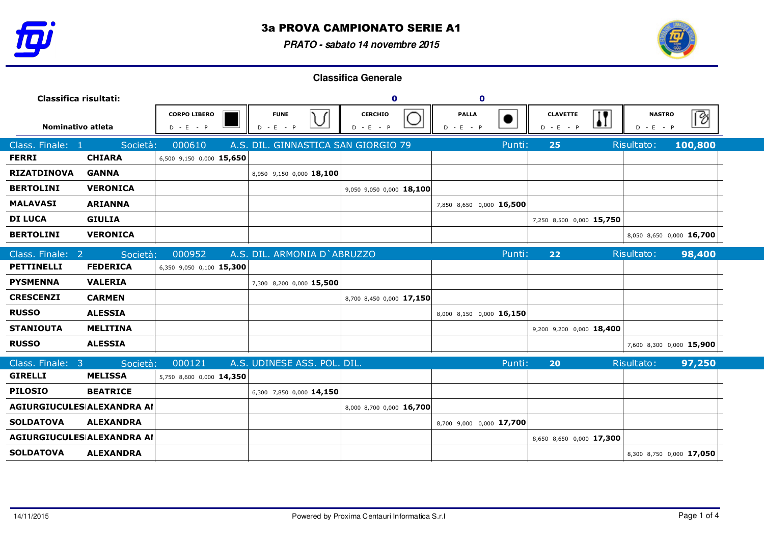

**PRATO - sabato 14 novembre 2015**



| Classifica risultati:      |                  |                                    |                                                         | $\mathbf 0$                   | $\bullet$                     |                                                           |                              |         |
|----------------------------|------------------|------------------------------------|---------------------------------------------------------|-------------------------------|-------------------------------|-----------------------------------------------------------|------------------------------|---------|
| Nominativo atleta          |                  | <b>CORPO LIBERO</b><br>$D - E - P$ | <b>FUNE</b><br>$\sqrt{ }$<br>$\check{ }$<br>$D - E - P$ | <b>CERCHIO</b><br>$D - E - P$ | <b>PALLA</b><br>D<br>$-E - P$ | $\overline{\mathbf{H}}$<br><b>CLAVETTE</b><br>$D - E - P$ | <b>NASTRO</b><br>$D - E - P$ | ি       |
| Class. Finale: 1           | Società:         | 000610                             | A.S. DIL. GINNASTICA SAN GIORGIO 79                     |                               | Punti:                        | 25                                                        | Risultato:                   | 100,800 |
| <b>FERRI</b>               | <b>CHIARA</b>    | 6,500 9,150 0,000 15,650           |                                                         |                               |                               |                                                           |                              |         |
| <b>RIZATDINOVA</b>         | <b>GANNA</b>     |                                    | 8,950 9,150 0,000 18,100                                |                               |                               |                                                           |                              |         |
| <b>BERTOLINI</b>           | <b>VERONICA</b>  |                                    |                                                         | 9,050 9,050 0,000 18,100      |                               |                                                           |                              |         |
| <b>MALAVASI</b>            | <b>ARIANNA</b>   |                                    |                                                         |                               | 7,850 8,650 0,000 16,500      |                                                           |                              |         |
| <b>DI LUCA</b>             | <b>GIULIA</b>    |                                    |                                                         |                               |                               | 7,250 8,500 0,000 15,750                                  |                              |         |
| <b>BERTOLINI</b>           | <b>VERONICA</b>  |                                    |                                                         |                               |                               |                                                           | 8,050 8,650 0,000 16,700     |         |
| Class. Finale: 2           | Società:         | 000952                             | A.S. DIL. ARMONIA D'ABRUZZO                             |                               | Punti:                        | 22                                                        | Risultato:                   | 98,400  |
| <b>PETTINELLI</b>          | <b>FEDERICA</b>  | 6,350 9,050 0,100 15,300           |                                                         |                               |                               |                                                           |                              |         |
| <b>PYSMENNA</b>            | <b>VALERIA</b>   |                                    | 7,300 8,200 0,000 15,500                                |                               |                               |                                                           |                              |         |
| <b>CRESCENZI</b>           | <b>CARMEN</b>    |                                    |                                                         | 8,700 8,450 0,000 17,150      |                               |                                                           |                              |         |
| <b>RUSSO</b>               | <b>ALESSIA</b>   |                                    |                                                         |                               | 8,000 8,150 0,000 16,150      |                                                           |                              |         |
| <b>STANIOUTA</b>           | <b>MELITINA</b>  |                                    |                                                         |                               |                               | 9,200 9,200 0,000 18,400                                  |                              |         |
| <b>RUSSO</b>               | <b>ALESSIA</b>   |                                    |                                                         |                               |                               |                                                           | 7,600 8,300 0,000 15,900     |         |
| Class. Finale: 3           | Società:         | 000121                             | A.S. UDINESE ASS. POL. DIL.                             |                               | Punti:                        | 20                                                        | Risultato:                   | 97,250  |
| <b>GIRELLI</b>             | <b>MELISSA</b>   | 5,750 8,600 0,000 14,350           |                                                         |                               |                               |                                                           |                              |         |
| <b>PILOSIO</b>             | <b>BEATRICE</b>  |                                    | 6,300 7,850 0,000 14,150                                |                               |                               |                                                           |                              |         |
| AGIURGIUCULES ALEXANDRA AI |                  |                                    |                                                         | 8,000 8,700 0,000 16,700      |                               |                                                           |                              |         |
| <b>SOLDATOVA</b>           | <b>ALEXANDRA</b> |                                    |                                                         |                               | 8,700 9,000 0,000 17,700      |                                                           |                              |         |
| AGIURGIUCULES ALEXANDRA AI |                  |                                    |                                                         |                               |                               | 8,650 8,650 0,000 17,300                                  |                              |         |
| <b>SOLDATOVA</b>           | <b>ALEXANDRA</b> |                                    |                                                         |                               |                               |                                                           | 8,300 8,750 0,000 17,050     |         |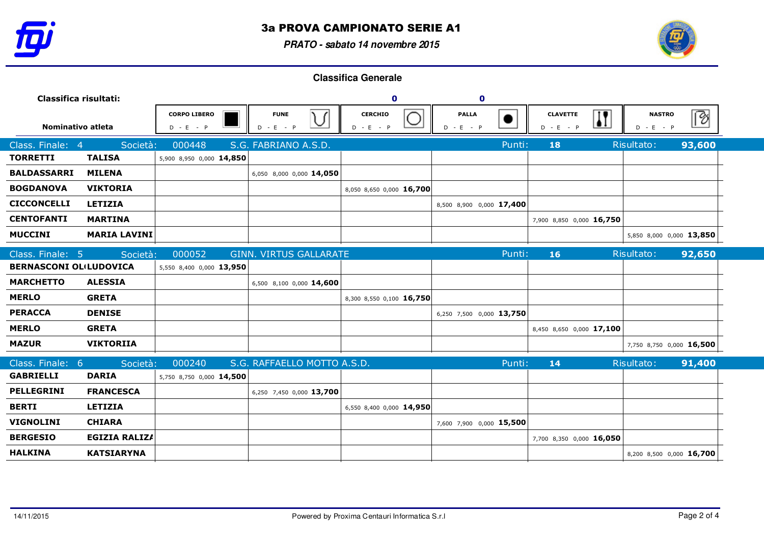

**PRATO - sabato 14 novembre 2015**



| Classifica risultati:         |                      |                                    |                                      | $\mathbf 0$                                  | $\mathbf 0$                 |                                                           |                              |        |
|-------------------------------|----------------------|------------------------------------|--------------------------------------|----------------------------------------------|-----------------------------|-----------------------------------------------------------|------------------------------|--------|
| Nominativo atleta             |                      | <b>CORPO LIBERO</b><br>$D - E - P$ | <b>FUNE</b><br>$\cup$<br>$D - E - P$ | <b>CERCHIO</b><br>$\check{ }$<br>$D - E - P$ | <b>PALLA</b><br>$D - E - P$ | $\overline{\mathbf{H}}$<br><b>CLAVETTE</b><br>$D - E - P$ | <b>NASTRO</b><br>$D - E - P$ | [8     |
| Class. Finale: 4              | Società:             | 000448                             | S.G. FABRIANO A.S.D.                 |                                              | Punti:                      | 18                                                        | Risultato:                   | 93,600 |
| <b>TORRETTI</b>               | <b>TALISA</b>        | 5,900 8,950 0,000 14,850           |                                      |                                              |                             |                                                           |                              |        |
| <b>BALDASSARRI</b>            | <b>MILENA</b>        |                                    | 6,050 8,000 0,000 14,050             |                                              |                             |                                                           |                              |        |
| <b>BOGDANOVA</b>              | <b>VIKTORIA</b>      |                                    |                                      | 8,050 8,650 0,000 16,700                     |                             |                                                           |                              |        |
| <b>CICCONCELLI</b>            | <b>LETIZIA</b>       |                                    |                                      |                                              | 8,500 8,900 0,000 17,400    |                                                           |                              |        |
| <b>CENTOFANTI</b>             | <b>MARTINA</b>       |                                    |                                      |                                              |                             | 7,900 8,850 0,000 16,750                                  |                              |        |
| <b>MUCCINI</b>                | <b>MARIA LAVINI</b>  |                                    |                                      |                                              |                             |                                                           | 5,850 8,000 0,000 13,850     |        |
| Class. Finale: 5              | Società:             | 000052                             | <b>GINN. VIRTUS GALLARATE</b>        |                                              | Punti:                      | 16                                                        | Risultato:                   | 92,650 |
| <b>BERNASCONI OLILUDOVICA</b> |                      | 5,550 8,400 0,000 13,950           |                                      |                                              |                             |                                                           |                              |        |
| <b>MARCHETTO</b>              | <b>ALESSIA</b>       |                                    | 6,500 8,100 0,000 14,600             |                                              |                             |                                                           |                              |        |
| <b>MERLO</b>                  | <b>GRETA</b>         |                                    |                                      | 8,300 8,550 0,100 16,750                     |                             |                                                           |                              |        |
| <b>PERACCA</b>                | <b>DENISE</b>        |                                    |                                      |                                              | 6,250 7,500 0,000 13,750    |                                                           |                              |        |
| <b>MERLO</b>                  | <b>GRETA</b>         |                                    |                                      |                                              |                             | 8,450 8,650 0,000 17,100                                  |                              |        |
| <b>MAZUR</b>                  | <b>VIKTORIIA</b>     |                                    |                                      |                                              |                             |                                                           | 7,750 8,750 0,000 16,500     |        |
| Class. Finale: 6              | Società:             | 000240                             | S.G. RAFFAELLO MOTTO A.S.D.          |                                              | Punti:                      | 14                                                        | Risultato:                   | 91,400 |
| <b>GABRIELLI</b>              | <b>DARIA</b>         | 5,750 8,750 0,000 14,500           |                                      |                                              |                             |                                                           |                              |        |
| <b>PELLEGRINI</b>             | <b>FRANCESCA</b>     |                                    | 6,250 7,450 0,000 13,700             |                                              |                             |                                                           |                              |        |
| <b>BERTI</b>                  | <b>LETIZIA</b>       |                                    |                                      | 6,550 8,400 0,000 14,950                     |                             |                                                           |                              |        |
| <b>VIGNOLINI</b>              | <b>CHIARA</b>        |                                    |                                      |                                              | 7,600 7,900 0,000 15,500    |                                                           |                              |        |
| <b>BERGESIO</b>               | <b>EGIZIA RALIZA</b> |                                    |                                      |                                              |                             | 7,700 8,350 0,000 16,050                                  |                              |        |
| <b>HALKINA</b>                | <b>KATSIARYNA</b>    |                                    |                                      |                                              |                             |                                                           | 8,200 8,500 0,000 16,700     |        |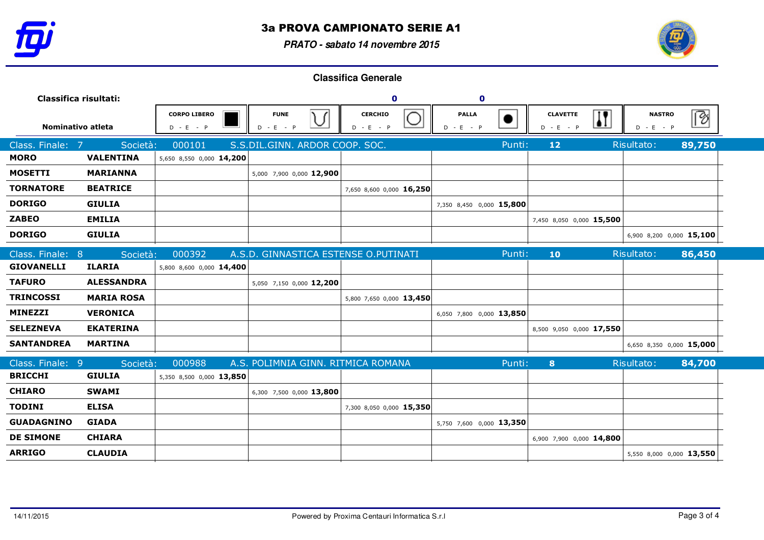

**PRATO - sabato 14 novembre 2015**



| Classifica risultati: |                   |                                    |                                                          | $\mathbf 0$                   | $\mathbf 0$                              |                                                |                              |                          |
|-----------------------|-------------------|------------------------------------|----------------------------------------------------------|-------------------------------|------------------------------------------|------------------------------------------------|------------------------------|--------------------------|
| Nominativo atleta     |                   | <b>CORPO LIBERO</b><br>$D - E - P$ | <b>FUNE</b><br>$\sqrt{ }$<br>$\checkmark$<br>$D - E - P$ | <b>CERCHIO</b><br>$D - E - P$ | <b>PALLA</b><br>D<br>$\sim$ E .<br>$-$ P | $\mathbf{I}$<br><b>CLAVETTE</b><br>$D - E - P$ | <b>NASTRO</b><br>$D - E - P$ | B                        |
| Class. Finale:<br>- 7 | Società:          | 000101                             | S.S.DIL.GINN. ARDOR COOP. SOC.                           |                               |                                          | Punti:<br>12                                   | Risultato:                   | 89,750                   |
| <b>MORO</b>           | <b>VALENTINA</b>  | 5,650 8,550 0,000 14,200           |                                                          |                               |                                          |                                                |                              |                          |
| <b>MOSETTI</b>        | <b>MARIANNA</b>   |                                    | 5,000 7,900 0,000 12,900                                 |                               |                                          |                                                |                              |                          |
| <b>TORNATORE</b>      | <b>BEATRICE</b>   |                                    |                                                          | 7,650 8,600 0,000 16,250      |                                          |                                                |                              |                          |
| <b>DORIGO</b>         | <b>GIULIA</b>     |                                    |                                                          |                               | 7,350 8,450 0,000 15,800                 |                                                |                              |                          |
| <b>ZABEO</b>          | <b>EMILIA</b>     |                                    |                                                          |                               |                                          | 7,450 8,050 0,000 15,500                       |                              |                          |
| <b>DORIGO</b>         | <b>GIULIA</b>     |                                    |                                                          |                               |                                          |                                                |                              | 6,900 8,200 0,000 15,100 |
| Class. Finale: 8      | Società:          | 000392                             | A.S.D. GINNASTICA ESTENSE O.PUTINATI                     |                               |                                          | Punti:<br>10                                   | Risultato:                   | 86,450                   |
| <b>GIOVANELLI</b>     | <b>ILARIA</b>     | 5,800 8,600 0,000 14,400           |                                                          |                               |                                          |                                                |                              |                          |
| <b>TAFURO</b>         | <b>ALESSANDRA</b> |                                    | 5,050 7,150 0,000 12,200                                 |                               |                                          |                                                |                              |                          |
| <b>TRINCOSSI</b>      | <b>MARIA ROSA</b> |                                    |                                                          | 5,800 7,650 0,000 13,450      |                                          |                                                |                              |                          |
| <b>MINEZZI</b>        | <b>VERONICA</b>   |                                    |                                                          |                               | 6,050 7,800 0,000 13,850                 |                                                |                              |                          |
| <b>SELEZNEVA</b>      | <b>EKATERINA</b>  |                                    |                                                          |                               |                                          | 8,500 9,050 0,000 17,550                       |                              |                          |
| <b>SANTANDREA</b>     | <b>MARTINA</b>    |                                    |                                                          |                               |                                          |                                                |                              | 6,650 8,350 0,000 15,000 |
| Class. Finale: 9      | Società:          | 000988                             | A.S. POLIMNIA GINN. RITMICA ROMANA                       |                               |                                          | 8<br>Punti:                                    | Risultato:                   | 84,700                   |
| <b>BRICCHI</b>        | <b>GIULIA</b>     | 5,350 8,500 0,000 13,850           |                                                          |                               |                                          |                                                |                              |                          |
| <b>CHIARO</b>         | <b>SWAMI</b>      |                                    | 6,300 7,500 0,000 13,800                                 |                               |                                          |                                                |                              |                          |
| <b>TODINI</b>         | <b>ELISA</b>      |                                    |                                                          | 7,300 8,050 0,000 15,350      |                                          |                                                |                              |                          |
| <b>GUADAGNINO</b>     | <b>GIADA</b>      |                                    |                                                          |                               | 5,750 7,600 0,000 13,350                 |                                                |                              |                          |
| <b>DE SIMONE</b>      | <b>CHIARA</b>     |                                    |                                                          |                               |                                          | 6,900 7,900 0,000 14,800                       |                              |                          |
| <b>ARRIGO</b>         | <b>CLAUDIA</b>    |                                    |                                                          |                               |                                          |                                                |                              | 5,550 8,000 0,000 13,550 |